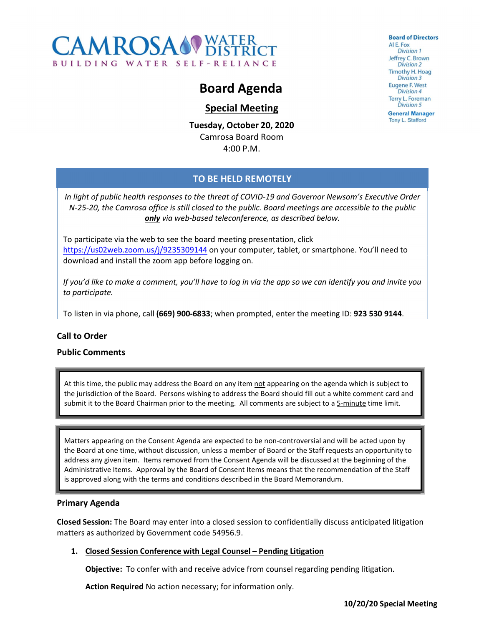

# Board Agenda

## Special Meeting

Tuesday, October 20, 2020 Camrosa Board Room 4:00 P.M.

**Board of Directors** ALE, Fox Division 1 Jeffrey C. Brown **Division 2 Timothy H. Hoag** Division 3 **Eugene F. West Division 4 Terry L. Foreman Division 5 General Manager** Tony L. Stafford

TO BE HELD REMOTELY

In light of public health responses to the threat of COVID-19 and Governor Newsom's Executive Order N-25-20, the Camrosa office is still closed to the public. Board meetings are accessible to the public only via web-based teleconference, as described below.

To participate via the web to see the board meeting presentation, click https://us02web.zoom.us/j/9235309144 on your computer, tablet, or smartphone. You'll need to download and install the zoom app before logging on.

If you'd like to make a comment, you'll have to log in via the app so we can identify you and invite you

to participate.<br>To listen in via phone, call (669) 900-6833; when prompted, enter the meeting ID: 923 530 9144.

### Call to Order

#### Public Comments

At this time, the public may address the Board on any item not appearing on the agenda which is subject to the jurisdiction of the Board. Persons wishing to address the Board should fill out a white comment card and submit it to the Board Chairman prior to the meeting. All comments are subject to a 5-minute time limit.

Matters appearing on the Consent Agenda are expected to be non-controversial and will be acted upon by the Board at one time, without discussion, unless a member of Board or the Staff requests an opportunity to address any given item. Items removed from the Consent Agenda will be discussed at the beginning of the Administrative Items. Approval by the Board of Consent Items means that the recommendation of the Staff is approved along with the terms and conditions described in the Board Memorandum.

#### Primary Agenda

Closed Session: The Board may enter into a closed session to confidentially discuss anticipated litigation matters as authorized by Government code 54956.9.

#### 1. Closed Session Conference with Legal Counsel – Pending Litigation

Objective: To confer with and receive advice from counsel regarding pending litigation.

Action Required No action necessary; for information only.